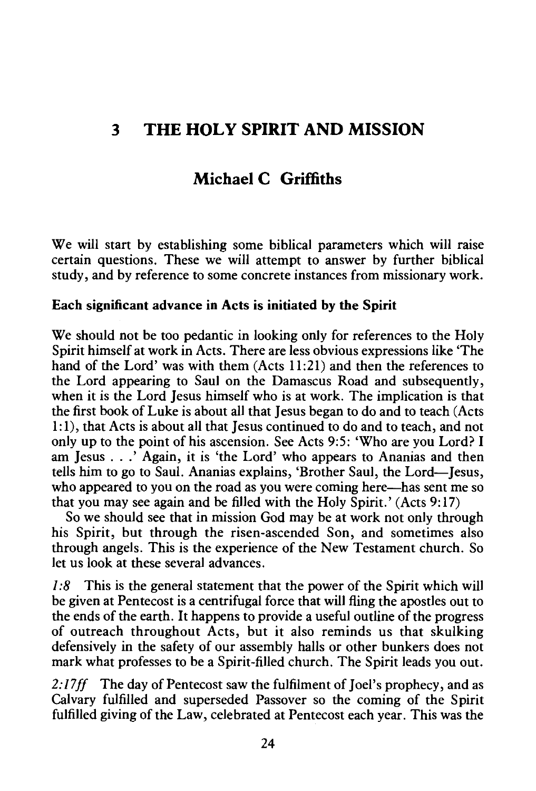# **3 THE HOLY SPIRIT AND MISSION**

## **Michael C Griffiths**

We will start by establishing some biblical parameters which will raise certain questions. These we will attempt to answer by further biblical study, and by reference to some concrete instances from missionary work.

### **Each significant advance in Acts is initiated by the Spirit**

We should not be too pedantic in looking only for references to the Holy Spirit himself at work in Acts. There are less obvious expressions like 'The hand of the Lord' was with them (Acts 11:21) and then the references to the Lord appearing to Saul on the Damascus Road and subsequently, when it is the Lord Jesus himself who is at work. The implication is that the first book of Luke is about all that Jesus began to do and to teach (Acts 1: 1), that Acts is about all that Jesus continued to do and to teach, and not only up to the point of his ascension. See Acts 9:5: 'Who are you Lord? I am Jesus ... ' Again, it is 'the Lord' who appears to Ananias and then tells him to go to Saul. Ananias explains, 'Brother Saul, the Lord-Jesus, who appeared to you on the road as you were coming here—has sent me so that you may see again and be filled with the Holy Spirit.' (Acts 9: 17)

So we should see that in mission God may be at work not only through his Spirit, but through the risen-ascended Son, and sometimes also through angels. This is the experience of the New Testament church. So let us look at these several advances.

*I :8* This is the general statement that the power of the Spirit which will be given at Pentecost is a centrifugal force that will fling the apostles out to the ends of the earth. It happens to provide a useful outline of the progress of outreach throughout Acts, but it also reminds us that skulking defensively in the safety of our assembly halls or other bunkers does not mark what professes to be a Spirit-filled church. The Spirit leads you out.

*2:17ff* The day of Pentecost saw the fulfilment of Joel's prophecy, and as Calvary fulfilled and superseded Passover so the coming of the Spirit fulfilled giving of the Law, celebrated at Pentecost each year. This was the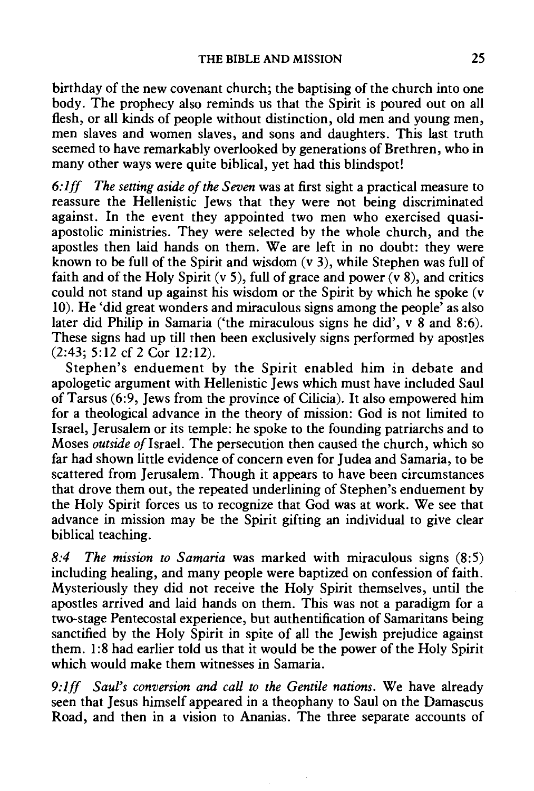birthday of the new covenant church; the baptising of the church into one body. The prophecy also reminds us that the Spirit is poured out on all flesh, or all kinds of people without distinction, old men and young men, men slaves and women slaves, and sons and daughters. This last truth seemed to have remarkably overlooked by generations of Brethren, who in many other ways were quite biblical, yet had this blindspot!

*6: lff The setting aside of the Seven* was at first sight a practical measure to reassure the Hellenistic Jews that they were not being discriminated against. In the event they appointed two men who exercised quasiapostolic ministries. They were selected by the whole church, and the apostles then laid hands on them. We are left in no doubt: they were known to be full of the Spirit and wisdom  $(v, 3)$ , while Stephen was full of faith and of the Holy Spirit (v 5), full of grace and power  $\overline{(v 8)}$ , and critics could not stand up against his wisdom or the Spirit by which he spoke (v 10). He 'did great wonders and miraculous signs among the people' as also later did Philip in Samaria ('the miraculous signs he did',  $v$  8 and 8:6). These signs had up till then been exclusively signs performed by apostles  $(2:43: 5:12 \text{ cf } 2 \text{ Cor } 12:12).$ 

Stephen's enduement by the Spirit enabled him in debate and apologetic argument with Hellenistic Jews which must have included Saul of Tarsus (6:9, Jews from the province of Cilicia). It also empowered him for a theological advance in the theory of mission: God is not limited to Israel, Jerusalem or its temple: he spoke to the founding patriarchs and to Moses *outside of* Israel. The persecution then caused the church, which so far had shown little evidence of concern even for Judea and Samaria, to be scattered from Jerusalem. Though it appears to have been circumstances that drove them out, the repeated underlining of Stephen's enduement by the Holy Spirit forces us to recognize that God was at work. We see that advance in mission may be the Spirit gifting an individual to give clear biblical teaching.

*8:4 The mission to Samaria* was marked with miraculous signs (8:5) including healing, and many people were baptized on confession of faith. Mysteriously they did not receive the Holy Spirit themselves, until the apostles arrived and laid hands on them. This was not a paradigm for a two-stage Pentecostal experience, but authentification of Samaritans being sanctified by the Holy Spirit in spite of all the Jewish prejudice against them. 1:8 had earlier told us that it would be the power of the Holy Spirit which would make them witnesses in Samaria.

*9:lff Saurs conversion and call to the Gentile nations.* We have already seen that Jesus himself appeared in a theophany to Saul on the Damascus Road, and then in a vision to Ananias. The three separate accounts of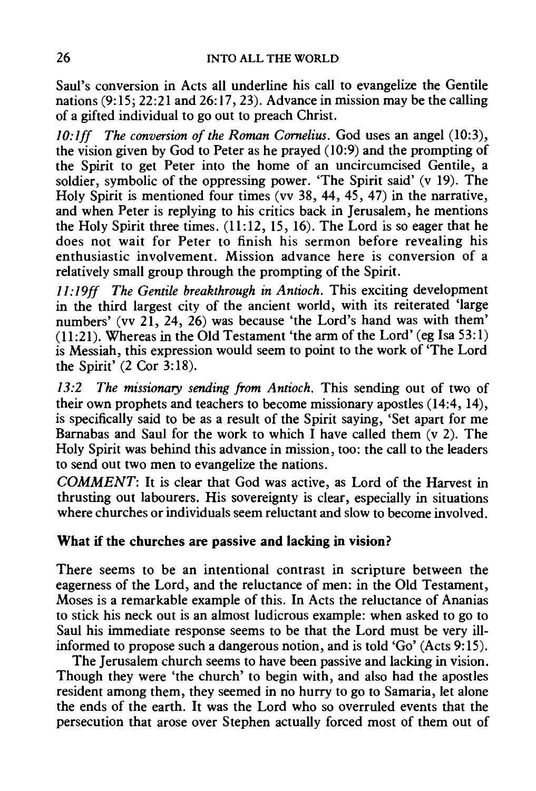Saul's conversion in Acts all underline his call to evangelize the Gentile nations (9: 15; 22:21 and 26:17, 23). Advance in mission may be the calling of a gifted individual to go out to preach Christ.

10:1ff The conversion of the Roman Cornelius. God uses an angel (10:3), the vision given by God to Peter as he prayed (10:9) and the prompting of the Spirit to get Peter into the home of an uncircumcised Gentile, a soldier, symbolic of the oppressing power. 'The Spirit said' (v 19). The Holy Spirit is mentioned four times (vv 38, 44, 45, 47) in the narrative, and when Peter is replying to his critics back in Jerusalem, he mentions the Holy Spirit three times. (11:12, 15, 16). The Lord is so eager that he does not wait for Peter to finish his sermon before revealing his enthusiastic involvement. Mission advance here is conversion of a relatively small group through the prompting of the Spirit.

*ll:l9ff The Gentile breakthrough in Antioch.* This exciting development in the third largest city of the ancient world, with its reiterated 'large numbers' (vv 21, 24, 26) was because 'the Lord's hand was with them' (11:21). Whereas in the Old Testament 'the arm of the Lord' (eg Isa 53:1) is Messiah, this expression would seem to point to the work of 'The Lord the Spirit' (2 Cor 3: 18).

*13:2 The missionary sending from Antioch.* This sending out of two of their own prophets and teachers to become missionary apostles (14:4, 14), is specifically said to be as a result of the Spirit saying, 'Set apart for me Barnabas and Saul for the work to which I have called them  $(v 2)$ . The Holy Spirit was behind this advance in mission, too: the call to the leaders to send out two men to evangelize the nations.

*COMMENT:* It is clear that God was active, as Lord of the Harvest in thrusting out labourers. His sovereignty is clear, especially in situations where churches or individuals seem reluctant and slow to become involved.

### What if the churches are passive and lacking in vision?

There seems to be an intentional contrast in scripture between the eagerness of the Lord, and the reluctance of men: in the Old Testament, Moses is a remarkable example of this. In Acts the reluctance of Ananias to stick his neck out is an almost ludicrous example: when asked to go to Saul his immediate response seems to be that the Lord must be very illinformed to propose such a dangerous notion, and is told 'Go' (Acts  $9:15$ ).

The Jerusalem church seems to have been passive and lacking in vision. Though they were 'the church' to begin with, and also had the apostles resident among them, they seemed in no hurry to go to Samaria, let alone the ends of the earth. It was the Lord who so overruled events that the persecution that arose over Stephen actually forced most of them out of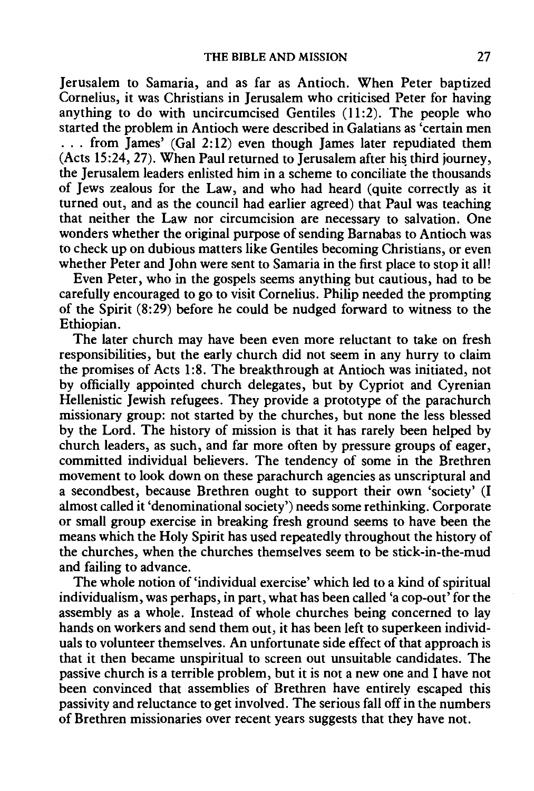Jerusalem to Samaria, and as far as Antioch. When Peter baptized Cornelius, it was Christians in Jerusalem who criticised Peter for having anything to do with uncircumcised Gentiles (11:2). The people who started the problem in Antioch were described in Galatians as 'certain men ... from James' (Gal 2:12) even though James later repudiated them  $(Acts 15:24, 27)$ . When Paul returned to Jerusalem after his third journey, the Jerusalem leaders enlisted him in a scheme to conciliate the thousands of Jews zealous for the Law, and who had heard (quite correctly as it turned out, and as the council had earlier agreed) that Paul was teaching that neither the Law nor circumcision are necessary to salvation. One wonders whether the original purpose of sending Barnabas to Antioch was to check up on dubious matters like Gentiles becoming Christians, or even whether Peter and John were sent to Samaria in the first place to stop it all!

Even Peter, who in the gospels seems anything but cautious, had to be carefully encouraged to go to visit Cornelius. Philip needed the prompting of the Spirit (8:29) before he could be nudged forward to witness to the Ethiopian.

The later church may have been even more reluctant to take on fresh responsibilities, but the early church did not seem in any hurry to claim the promises of Acts 1:8. The breakthrough at Antioch was initiated, not by officially appointed church delegates, but by Cypriot and Cyrenian Hellenistic Jewish refugees. They provide a prototype of the parachurch missionary group: not started by the churches, but none the less blessed by the Lord. The history of mission is that it has rarely been helped by church leaders, as such, and far more often by pressure groups of eager, committed individual believers. The tendency of some in the Brethren movement to look down on these parachurch agencies as unscriptural and a secondbest, because Brethren ought to support their own 'society' (I almost called it 'denominational society') needs some rethinking. Corporate or small group exercise in breaking fresh ground seems to have been the means which the Holy Spirit has used repeatedly throughout the history of the churches, when the churches themselves seem to be stick-in-the-mud and failing to advance.

The whole notion of 'individual exercise' which led to a kind of spiritual individualism, was perhaps, in part, what has been called 'a cop-out' for the assembly as a whole. Instead of whole churches being concerned to lay hands on workers and send them out, it has been left to superkeen individuals to volunteer themselves. An unfortunate side effect of that approach is that it then became unspiritual to screen out unsuitable candidates. The passive church is a terrible problem, but it is not a new one and I have not been convinced that assemblies of Brethren have entirely escaped this passivity and reluctance to get involved. The serious fall off in the numbers of Brethren missionaries over recent years suggests that they have not.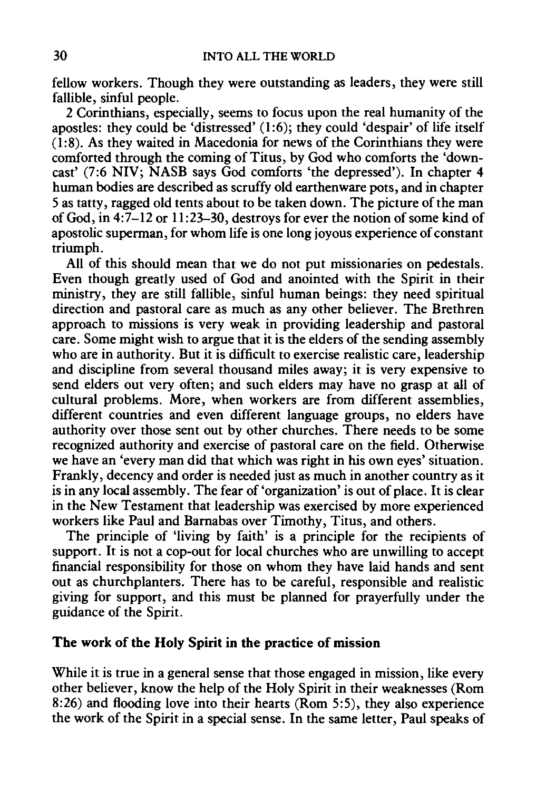fellow workers. Though they were outstanding as leaders, they were still fallible, sinful people.

2 Corinthians, especially, seems to focus upon the real humanity of the apostles: they could be 'distressed' (1:6); they could 'despair' of life itself (1:8). As they waited in Macedonia for news of the Corinthians they were comforted through the coming of Titus, by God who comforts the 'downcast' (7:6 NIV; NASB says God comforts 'the depressed'). In chapter 4 human bodies are described as scruffy old earthenware pots, and in chapter 5 as tatty, ragged old tents about to be taken down. The picture of the man of God, in 4:7-12 or 11:23-30, destroys for ever the notion of some kind of apostolic superman, for whom life is one long joyous experience of constant triumph.

All of this should mean that we do not put missionaries on pedestals. Even though greatly used of God and anointed with the Spirit in their ministry, they are still fallible, sinful human beings: they need spiritual direction and pastoral care as much as any other believer. The Brethren approach to missions is very weak in providing leadership and pastoral care. Some might wish to argue that it is the elders of the sending assembly who are in authority. But it is difficult to exercise realistic care, leadership and discipline from several thousand miles away; it is very expensive to send elders out very often; and such elders may have no grasp at all of cultural problems. More, when workers are from different assemblies, different countries and even different language groups, no elders have authority over those sent out by other churches. There needs to be some recognized authority and exercise of pastoral care on the field. Otherwise we have an 'every man did that which was right in his own eyes' situation. Frankly, decency and order is needed just as much in another country as it is in any local assembly. The fear of 'organization' is out of place. It is clear in the New Testament that leadership was exercised by more experienced workers like Paul and Barnabas over Timothy, Titus, and others.

The principle of 'living by faith' is a principle for the recipients of support. It is not a cop-out for local churches who are unwilling to accept financial responsibility for those on whom they have laid hands and sent out as churchplanters. There has to be careful, responsible and realistic giving for support, and this must be planned for prayerfully under the guidance of the Spirit.

### The work of the Holy Spirit in the practice of mission

While it is true in a general sense that those engaged in mission, like every other believer, know the help of the Holy Spirit in their weaknesses (Rom 8:26) and flooding love into their hearts (Rom 5:5), they also experience the work of the Spirit in a special sense. In the same letter, Paul speaks of